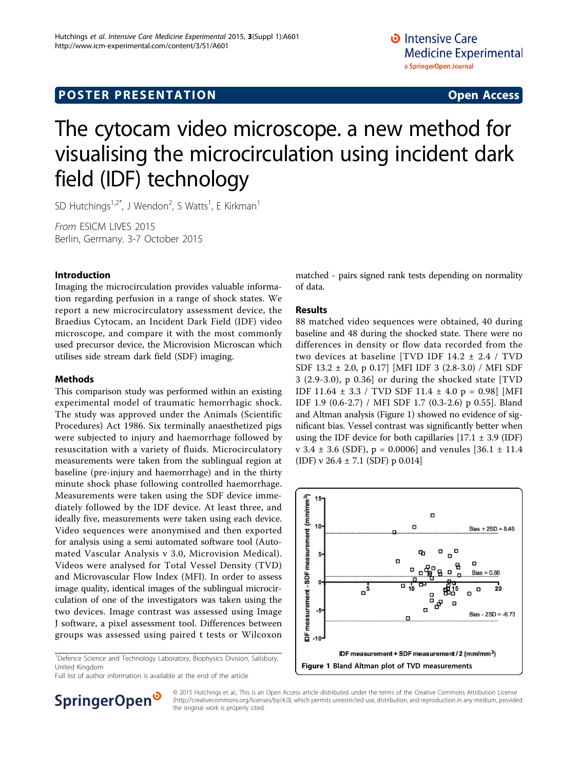# **POSTER PRESENTATION CONSUMING ACCESS**

# The cytocam video microscope. a new method for visualising the microcirculation using incident dark field (IDF) technology

SD Hutchings<sup>1,2\*</sup>, J Wendon<sup>2</sup>, S Watts<sup>1</sup>, E Kirkman<sup>1</sup>

From ESICM LIVES 2015 Berlin, Germany. 3-7 October 2015

### Introduction

Imaging the microcirculation provides valuable information regarding perfusion in a range of shock states. We report a new microcirculatory assessment device, the Braedius Cytocam, an Incident Dark Field (IDF) video microscope, and compare it with the most commonly used precursor device, the Microvision Microscan which utilises side stream dark field (SDF) imaging.

### Methods

This comparison study was performed within an existing experimental model of traumatic hemorrhagic shock. The study was approved under the Animals (Scientific Procedures) Act 1986. Six terminally anaesthetized pigs were subjected to injury and haemorrhage followed by resuscitation with a variety of fluids. Microcirculatory measurements were taken from the sublingual region at baseline (pre-injury and haemorrhage) and in the thirty minute shock phase following controlled haemorrhage. Measurements were taken using the SDF device immediately followed by the IDF device. At least three, and ideally five, measurements were taken using each device. Video sequences were anonymised and then exported for analysis using a semi automated software tool (Automated Vascular Analysis v 3.0, Microvision Medical). Videos were analysed for Total Vessel Density (TVD) and Microvascular Flow Index (MFI). In order to assess image quality, identical images of the sublingual microcirculation of one of the investigators was taken using the two devices. Image contrast was assessed using Image J software, a pixel assessment tool. Differences between groups was assessed using paired t tests or Wilcoxon

<sup>1</sup>Defence Science and Technology Laboratory, Biophysics Division, Salisbury, United Kingdom

Full list of author information is available at the end of the article

matched - pairs signed rank tests depending on normality of data.

#### Results

88 matched video sequences were obtained, 40 during baseline and 48 during the shocked state. There were no differences in density or flow data recorded from the two devices at baseline [TVD IDF 14.2 ± 2.4 / TVD SDF 13.2 ± 2.0, p 0.17] [MFI IDF 3 (2.8-3.0) / MFI SDF 3 (2.9-3.0), p 0.36] or during the shocked state [TVD IDF 11.64 ± 3.3 / TVD SDF 11.4 ± 4.0 p = 0.98] [MFI IDF 1.9 (0.6-2.7) / MFI SDF 1.7 (0.3-2.6) p 0.55]. Bland and Altman analysis (Figure 1) showed no evidence of significant bias. Vessel contrast was significantly better when using the IDF device for both capillaries  $[17.1 \pm 3.9 \text{ (IDF)}]$ v 3.4  $\pm$  3.6 (SDF), p = 0.0006] and venules [36.1  $\pm$  11.4 (IDF) v 26.4 ± 7.1 (SDF) p 0.014]



SpringerOpen<sup>®</sup>

© 2015 Hutchings et al.; This is an Open Access article distributed under the terms of the Creative Commons Attribution License [\(http://creativecommons.org/licenses/by/4.0](http://creativecommons.org/licenses/by/4.0)), which permits unrestricted use, distribution, and reproduction in any medium, provided the original work is properly cited.